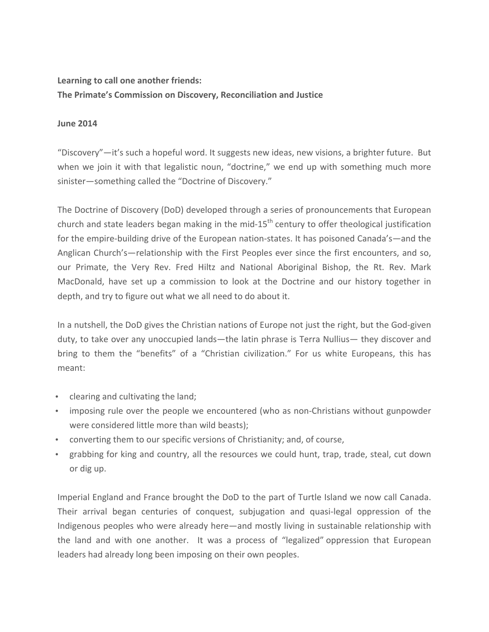## Learning to call one another friends: **The Primate's Commission on Discovery, Reconciliation and Justice**

## **June 2014**

"Discovery"—it's such a hopeful word. It suggests new ideas, new visions, a brighter future. But when we join it with that legalistic noun, "doctrine," we end up with something much more sinister—something called the "Doctrine of Discovery."

The Doctrine of Discovery (DoD) developed through a series of pronouncements that European church and state leaders began making in the mid-15<sup>th</sup> century to offer theological justification for the empire-building drive of the European nation-states. It has poisoned Canada's—and the Anglican Church's—relationship with the First Peoples ever since the first encounters, and so, our Primate, the Very Rev. Fred Hiltz and National Aboriginal Bishop, the Rt. Rev. Mark MacDonald, have set up a commission to look at the Doctrine and our history together in depth, and try to figure out what we all need to do about it.

In a nutshell, the DoD gives the Christian nations of Europe not just the right, but the God-given duty, to take over any unoccupied lands—the latin phrase is Terra Nullius— they discover and bring to them the "benefits" of a "Christian civilization." For us white Europeans, this has meant:

- clearing and cultivating the land;
- imposing rule over the people we encountered (who as non-Christians without gunpowder were considered little more than wild beasts);
- converting them to our specific versions of Christianity; and, of course,
- grabbing for king and country, all the resources we could hunt, trap, trade, steal, cut down or dig up.

Imperial England and France brought the DoD to the part of Turtle Island we now call Canada. Their arrival began centuries of conquest, subjugation and quasi-legal oppression of the Indigenous peoples who were already here—and mostly living in sustainable relationship with the land and with one another. It was a process of "legalized" oppression that European leaders had already long been imposing on their own peoples.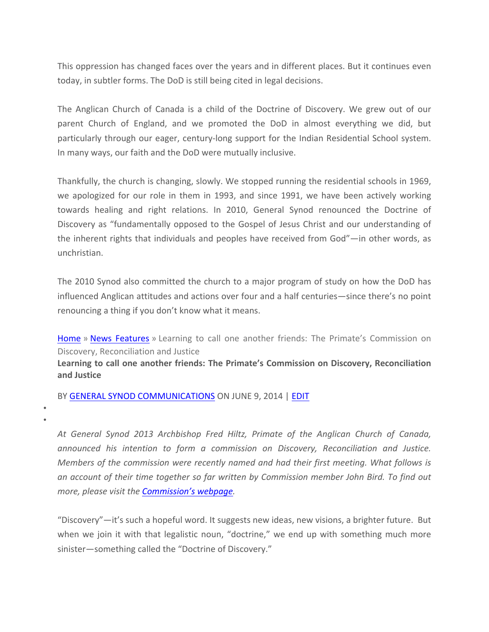This oppression has changed faces over the years and in different places. But it continues even today, in subtler forms. The DoD is still being cited in legal decisions.

The Anglican Church of Canada is a child of the Doctrine of Discovery. We grew out of our parent Church of England, and we promoted the DoD in almost everything we did, but particularly through our eager, century-long support for the Indian Residential School system. In many ways, our faith and the DoD were mutually inclusive.

Thankfully, the church is changing, slowly. We stopped running the residential schools in 1969, we apologized for our role in them in 1993, and since 1991, we have been actively working towards healing and right relations. In 2010, General Synod renounced the Doctrine of Discovery as "fundamentally opposed to the Gospel of Jesus Christ and our understanding of the inherent rights that individuals and peoples have received from God"—in other words, as unchristian.

The 2010 Synod also committed the church to a major program of study on how the DoD has influenced Anglican attitudes and actions over four and a half centuries—since there's no point renouncing a thing if you don't know what it means.

Home » News Features » Learning to call one another friends: The Primate's Commission on Discovery, Reconciliation and Justice

Learning to call one another friends: The Primate's Commission on Discovery, Reconciliation **and Justice**

BY GENERAL SYNOD COMMUNICATIONS ON JUNE 9, 2014 | EDIT

• •

> *At General Synod 2013 Archbishop Fred Hiltz, Primate of the Anglican Church of Canada, announced his intention to form a commission on Discovery, Reconciliation and Justice. Members of the commission were recently named and had their first meeting. What follows is an account of their time together so far written by Commission member John Bird. To find out more, please visit the Commission's webpage.*

> "Discovery"—it's such a hopeful word. It suggests new ideas, new visions, a brighter future. But when we join it with that legalistic noun, "doctrine," we end up with something much more sinister—something called the "Doctrine of Discovery."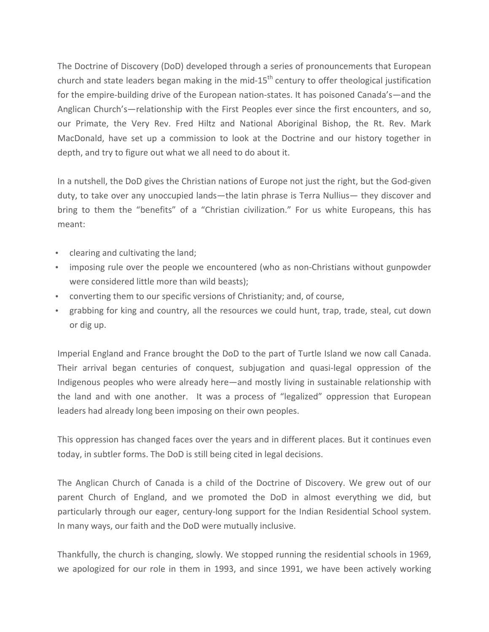The Doctrine of Discovery (DoD) developed through a series of pronouncements that European church and state leaders began making in the mid-15<sup>th</sup> century to offer theological justification for the empire-building drive of the European nation-states. It has poisoned Canada's—and the Anglican Church's—relationship with the First Peoples ever since the first encounters, and so, our Primate, the Very Rev. Fred Hiltz and National Aboriginal Bishop, the Rt. Rev. Mark MacDonald, have set up a commission to look at the Doctrine and our history together in depth, and try to figure out what we all need to do about it.

In a nutshell, the DoD gives the Christian nations of Europe not just the right, but the God-given duty, to take over any unoccupied lands—the latin phrase is Terra Nullius— they discover and bring to them the "benefits" of a "Christian civilization." For us white Europeans, this has meant:

- clearing and cultivating the land;
- imposing rule over the people we encountered (who as non-Christians without gunpowder were considered little more than wild beasts);
- converting them to our specific versions of Christianity; and, of course,
- grabbing for king and country, all the resources we could hunt, trap, trade, steal, cut down or dig up.

Imperial England and France brought the DoD to the part of Turtle Island we now call Canada. Their arrival began centuries of conquest, subjugation and quasi-legal oppression of the Indigenous peoples who were already here—and mostly living in sustainable relationship with the land and with one another. It was a process of "legalized" oppression that European leaders had already long been imposing on their own peoples.

This oppression has changed faces over the years and in different places. But it continues even today, in subtler forms. The DoD is still being cited in legal decisions.

The Anglican Church of Canada is a child of the Doctrine of Discovery. We grew out of our parent Church of England, and we promoted the DoD in almost everything we did, but particularly through our eager, century-long support for the Indian Residential School system. In many ways, our faith and the DoD were mutually inclusive.

Thankfully, the church is changing, slowly. We stopped running the residential schools in 1969, we apologized for our role in them in 1993, and since 1991, we have been actively working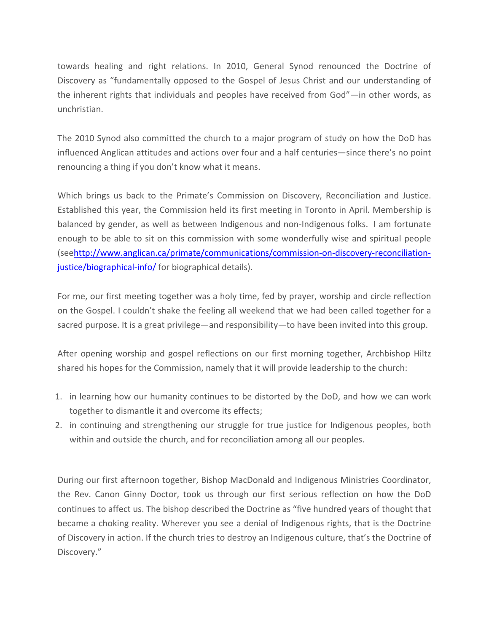towards healing and right relations. In 2010, General Synod renounced the Doctrine of Discovery as "fundamentally opposed to the Gospel of Jesus Christ and our understanding of the inherent rights that individuals and peoples have received from God"—in other words, as unchristian.

The 2010 Synod also committed the church to a major program of study on how the DoD has influenced Anglican attitudes and actions over four and a half centuries—since there's no point renouncing a thing if you don't know what it means.

Which brings us back to the Primate's Commission on Discovery, Reconciliation and Justice. Established this year, the Commission held its first meeting in Toronto in April. Membership is balanced by gender, as well as between Indigenous and non-Indigenous folks. I am fortunate enough to be able to sit on this commission with some wonderfully wise and spiritual people (seehttp://www.anglican.ca/primate/communications/commission-on-discovery-reconciliationjustice/biographical-info/ for biographical details).

For me, our first meeting together was a holy time, fed by prayer, worship and circle reflection on the Gospel. I couldn't shake the feeling all weekend that we had been called together for a sacred purpose. It is a great privilege—and responsibility—to have been invited into this group.

After opening worship and gospel reflections on our first morning together, Archbishop Hiltz shared his hopes for the Commission, namely that it will provide leadership to the church:

- 1. in learning how our humanity continues to be distorted by the DoD, and how we can work together to dismantle it and overcome its effects;
- 2. in continuing and strengthening our struggle for true justice for Indigenous peoples, both within and outside the church, and for reconciliation among all our peoples.

During our first afternoon together, Bishop MacDonald and Indigenous Ministries Coordinator, the Rev. Canon Ginny Doctor, took us through our first serious reflection on how the DoD continues to affect us. The bishop described the Doctrine as "five hundred years of thought that became a choking reality. Wherever you see a denial of Indigenous rights, that is the Doctrine of Discovery in action. If the church tries to destroy an Indigenous culture, that's the Doctrine of Discovery."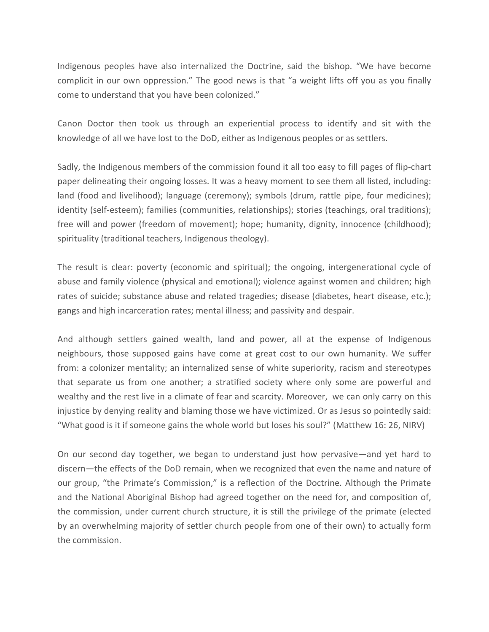Indigenous peoples have also internalized the Doctrine, said the bishop. "We have become complicit in our own oppression." The good news is that "a weight lifts off you as you finally come to understand that you have been colonized."

Canon Doctor then took us through an experiential process to identify and sit with the knowledge of all we have lost to the DoD, either as Indigenous peoples or as settlers.

Sadly, the Indigenous members of the commission found it all too easy to fill pages of flip-chart paper delineating their ongoing losses. It was a heavy moment to see them all listed, including: land (food and livelihood); language (ceremony); symbols (drum, rattle pipe, four medicines); identity (self-esteem); families (communities, relationships); stories (teachings, oral traditions); free will and power (freedom of movement); hope; humanity, dignity, innocence (childhood); spirituality (traditional teachers, Indigenous theology).

The result is clear: poverty (economic and spiritual); the ongoing, intergenerational cycle of abuse and family violence (physical and emotional); violence against women and children; high rates of suicide; substance abuse and related tragedies; disease (diabetes, heart disease, etc.); gangs and high incarceration rates; mental illness; and passivity and despair.

And although settlers gained wealth, land and power, all at the expense of Indigenous neighbours, those supposed gains have come at great cost to our own humanity. We suffer from: a colonizer mentality; an internalized sense of white superiority, racism and stereotypes that separate us from one another; a stratified society where only some are powerful and wealthy and the rest live in a climate of fear and scarcity. Moreover, we can only carry on this injustice by denying reality and blaming those we have victimized. Or as Jesus so pointedly said: "What good is it if someone gains the whole world but loses his soul?" (Matthew 16: 26, NIRV)

On our second day together, we began to understand just how pervasive—and yet hard to discern—the effects of the DoD remain, when we recognized that even the name and nature of our group, "the Primate's Commission," is a reflection of the Doctrine. Although the Primate and the National Aboriginal Bishop had agreed together on the need for, and composition of, the commission, under current church structure, it is still the privilege of the primate (elected by an overwhelming majority of settler church people from one of their own) to actually form the commission.